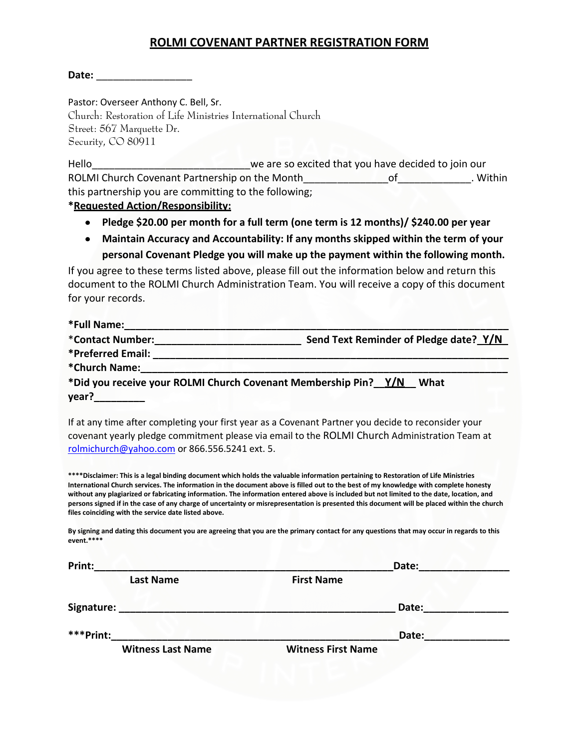## **ROLMI COVENANT PARTNER REGISTRATION FORM**

**Date:** \_\_\_\_\_\_\_\_\_\_\_\_\_\_\_\_\_

Pastor: Overseer Anthony C. Bell, Sr.

Church: Restoration of Life Ministries International Church Street: 567 Marquette Dr. Security, CO 80911

Hello\_\_\_\_\_\_\_\_\_\_\_\_\_\_\_\_\_\_\_\_\_\_\_\_\_\_\_\_we are so excited that you have decided to join our ROLMI Church Covenant Partnership on the Month Theorem Cover of Theorem 2016. Within this partnership you are committing to the following;

## **\*Requested Action/Responsibility:**

- **Pledge \$20.00 per month for a full term (one term is 12 months)/ \$240.00 per year**
- **Maintain Accuracy and Accountability: If any months skipped within the term of your personal Covenant Pledge you will make up the payment within the following month.**

If you agree to these terms listed above, please fill out the information below and return this document to the ROLMI Church Administration Team. You will receive a copy of this document for your records.

| *Full Name:       |                                                                         |
|-------------------|-------------------------------------------------------------------------|
| *Contact Number:  | Send Text Reminder of Pledge date? Y/N                                  |
| *Preferred Email: |                                                                         |
| *Church Name:     |                                                                         |
|                   | *Did you receive your ROLMI Church Covenant Membership Pin? Y/N<br>What |
| year?             |                                                                         |
|                   |                                                                         |

If at any time after completing your first year as a Covenant Partner you decide to reconsider your covenant yearly pledge commitment please via email to the ROLMI Church Administration Team at [rolmichurch@yahoo.com](mailto:rolmichurch@yahoo.com) or 866.556.5241 ext. 5.

**\*\*\*\*Disclaimer: This is a legal binding document which holds the valuable information pertaining to Restoration of Life Ministries International Church services. The information in the document above is filled out to the best of my knowledge with complete honesty without any plagiarized or fabricating information. The information entered above is included but not limited to the date, location, and persons signed if in the case of any charge of uncertainty or misrepresentation is presented this document will be placed within the church files coinciding with the service date listed above.** 

**By signing and dating this document you are agreeing that you are the primary contact for any questions that may occur in regards to this event.\*\*\*\***

| Print:                                |                           |                   | Date: |  |
|---------------------------------------|---------------------------|-------------------|-------|--|
|                                       | <b>Last Name</b>          | <b>First Name</b> |       |  |
| Signature:                            |                           |                   | Date: |  |
| ***Print:<br><b>Witness Last Name</b> |                           | Date:             |       |  |
|                                       | <b>Witness First Name</b> |                   |       |  |